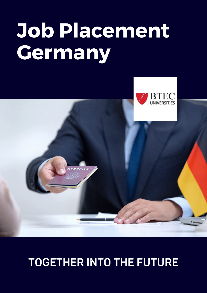# **Job Placement Germany**



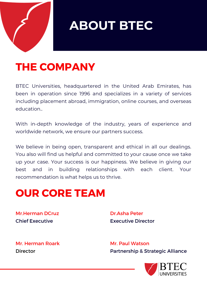

### **ABOUT BTEC**

#### **THE COMPANY**

BTEC Universities, headquartered in the United Arab Emirates, has been in operation since 1996 and specializes in a variety of services including placement abroad, immigration, online courses, and overseas education..

With in-depth knowledge of the industry, years of experience and worldwide network, we ensure our partners success.

We believe in being open, transparent and ethical in all our dealings. You also will find us helpful and committed to your cause once we take up your case. Your success is our happiness. We believe in giving our best and in building relationships with each client. Your recommendation is what helps us to thrive.

#### **OUR CORE TEAM**

Mr.Herman DCruz Chief Executive

Dr.Asha Peter Executive Director

Mr. Herman Roark **Director** 

Mr. Paul Watson Partnership & Strategic Alliance

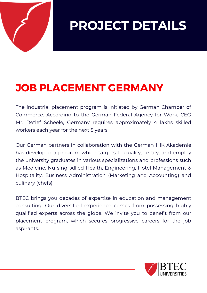

**PROJECT DETAILS**

#### **JOB PLACEMENT GERMANY**

The industrial placement program is initiated by German Chamber of Commerce. According to the German Federal Agency for Work, CEO Mr. Detlef Scheele, Germany requires approximately 4 lakhs skilled workers each year for the next 5 years.

Our German partners in collaboration with the German IHK Akademie has developed a program which targets to qualify, certify, and employ the university graduates in various specializations and professions such as Medicine, Nursing, Allied Health, Engineering, Hotel Management & Hospitality, Business Administration (Marketing and Accounting) and culinary (chefs).

BTEC brings you decades of expertise in education and management consulting. Our diversified experience comes from possessing highly qualified experts across the globe. We invite you to benefit from our placement program, which secures progressive careers for the job aspirants.